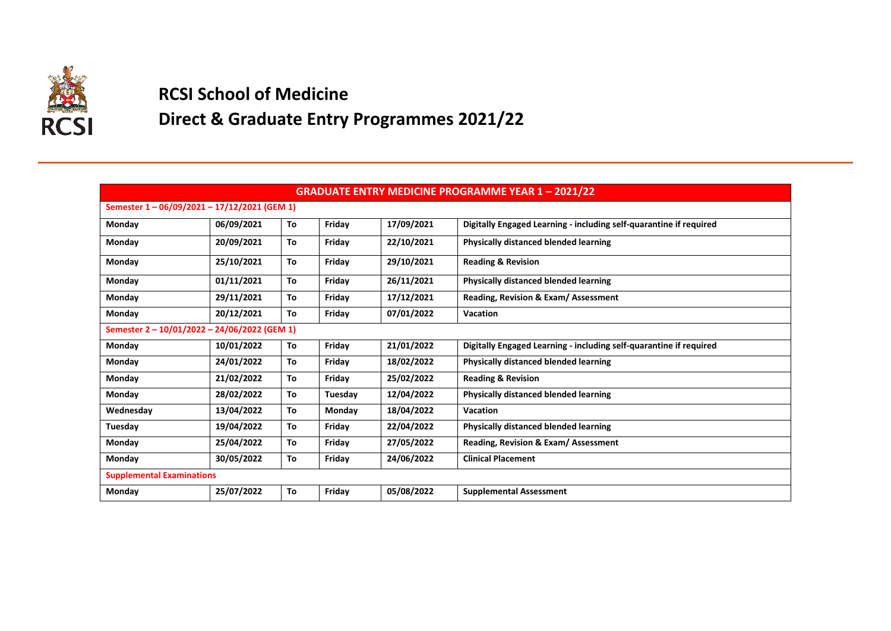

## **RCSI School of Medicine**

## **Direct & Graduate Entry Programmes 2021/22**

| <b>GRADUATE ENTRY MEDICINE PROGRAMME YEAR 1-2021/22</b> |            |    |         |            |                                                                    |  |  |  |
|---------------------------------------------------------|------------|----|---------|------------|--------------------------------------------------------------------|--|--|--|
| Semester 1-06/09/2021-17/12/2021 (GEM 1)                |            |    |         |            |                                                                    |  |  |  |
| Monday                                                  | 06/09/2021 | To | Friday  | 17/09/2021 | Digitally Engaged Learning - including self-quarantine if required |  |  |  |
| Monday                                                  | 20/09/2021 | To | Friday  | 22/10/2021 | Physically distanced blended learning                              |  |  |  |
| Monday                                                  | 25/10/2021 | To | Friday  | 29/10/2021 | <b>Reading &amp; Revision</b>                                      |  |  |  |
| Monday                                                  | 01/11/2021 | To | Friday  | 26/11/2021 | <b>Physically distanced blended learning</b>                       |  |  |  |
| Monday                                                  | 29/11/2021 | To | Friday  | 17/12/2021 | Reading, Revision & Exam/ Assessment                               |  |  |  |
| Monday                                                  | 20/12/2021 | To | Friday  | 07/01/2022 | <b>Vacation</b>                                                    |  |  |  |
| Semester 2 - 10/01/2022 - 24/06/2022 (GEM 1)            |            |    |         |            |                                                                    |  |  |  |
| Monday                                                  | 10/01/2022 | To | Friday  | 21/01/2022 | Digitally Engaged Learning - including self-quarantine if required |  |  |  |
| Monday                                                  | 24/01/2022 | To | Friday  | 18/02/2022 | <b>Physically distanced blended learning</b>                       |  |  |  |
| Monday                                                  | 21/02/2022 | To | Friday  | 25/02/2022 | <b>Reading &amp; Revision</b>                                      |  |  |  |
| Monday                                                  | 28/02/2022 | To | Tuesday | 12/04/2022 | <b>Physically distanced blended learning</b>                       |  |  |  |
| Wednesday                                               | 13/04/2022 | To | Monday  | 18/04/2022 | <b>Vacation</b>                                                    |  |  |  |
| Tuesday                                                 | 19/04/2022 | To | Friday  | 22/04/2022 | Physically distanced blended learning                              |  |  |  |
| Monday                                                  | 25/04/2022 | To | Friday  | 27/05/2022 | Reading, Revision & Exam/ Assessment                               |  |  |  |
| Monday                                                  | 30/05/2022 | To | Friday  | 24/06/2022 | <b>Clinical Placement</b>                                          |  |  |  |
| <b>Supplemental Examinations</b>                        |            |    |         |            |                                                                    |  |  |  |
| Monday                                                  | 25/07/2022 | To | Friday  | 05/08/2022 | <b>Supplemental Assessment</b>                                     |  |  |  |